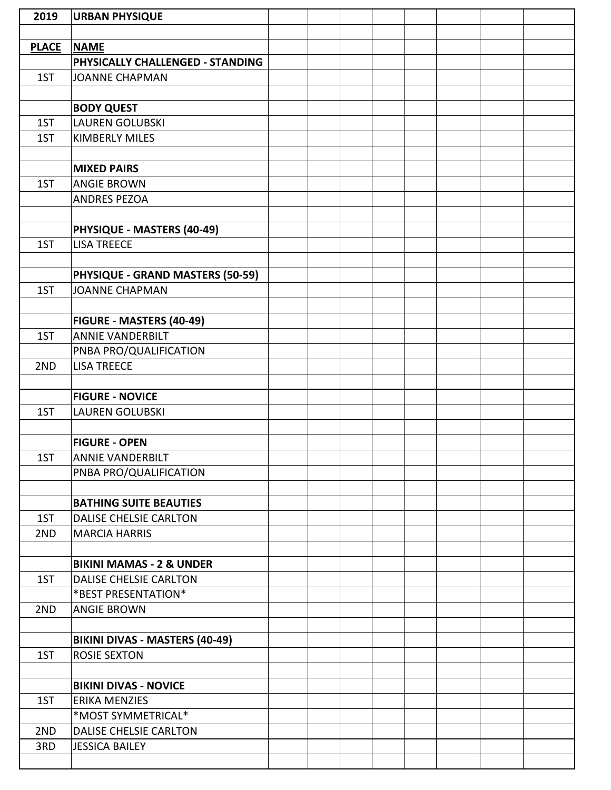| 2019         | <b>URBAN PHYSIQUE</b>               |  |  |  |  |
|--------------|-------------------------------------|--|--|--|--|
|              |                                     |  |  |  |  |
| <b>PLACE</b> | <b>NAME</b>                         |  |  |  |  |
|              | PHYSICALLY CHALLENGED - STANDING    |  |  |  |  |
| 1ST          | <b>JOANNE CHAPMAN</b>               |  |  |  |  |
|              |                                     |  |  |  |  |
|              | <b>BODY QUEST</b>                   |  |  |  |  |
| 1ST          | <b>LAUREN GOLUBSKI</b>              |  |  |  |  |
| 1ST          | <b>KIMBERLY MILES</b>               |  |  |  |  |
|              |                                     |  |  |  |  |
|              | <b>MIXED PAIRS</b>                  |  |  |  |  |
| 1ST          | <b>ANGIE BROWN</b>                  |  |  |  |  |
|              | <b>ANDRES PEZOA</b>                 |  |  |  |  |
|              |                                     |  |  |  |  |
|              | PHYSIQUE - MASTERS (40-49)          |  |  |  |  |
| 1ST          | <b>LISA TREECE</b>                  |  |  |  |  |
|              |                                     |  |  |  |  |
|              | PHYSIQUE - GRAND MASTERS (50-59)    |  |  |  |  |
| 1ST          | <b>JOANNE CHAPMAN</b>               |  |  |  |  |
|              |                                     |  |  |  |  |
|              | FIGURE - MASTERS (40-49)            |  |  |  |  |
| 1ST          | <b>ANNIE VANDERBILT</b>             |  |  |  |  |
|              | PNBA PRO/QUALIFICATION              |  |  |  |  |
| 2ND          | <b>LISA TREECE</b>                  |  |  |  |  |
|              |                                     |  |  |  |  |
|              | <b>FIGURE - NOVICE</b>              |  |  |  |  |
| 1ST          | <b>LAUREN GOLUBSKI</b>              |  |  |  |  |
|              |                                     |  |  |  |  |
|              | <b>FIGURE - OPEN</b>                |  |  |  |  |
| 1ST          | <b>ANNIE VANDERBILT</b>             |  |  |  |  |
|              | PNBA PRO/QUALIFICATION              |  |  |  |  |
|              |                                     |  |  |  |  |
|              | <b>BATHING SUITE BEAUTIES</b>       |  |  |  |  |
| 1ST          | <b>DALISE CHELSIE CARLTON</b>       |  |  |  |  |
| 2ND          | <b>MARCIA HARRIS</b>                |  |  |  |  |
|              |                                     |  |  |  |  |
|              | <b>BIKINI MAMAS - 2 &amp; UNDER</b> |  |  |  |  |
| 1ST          | DALISE CHELSIE CARLTON              |  |  |  |  |
|              | *BEST PRESENTATION*                 |  |  |  |  |
| 2ND          | <b>ANGIE BROWN</b>                  |  |  |  |  |
|              |                                     |  |  |  |  |
|              | BIKINI DIVAS - MASTERS (40-49)      |  |  |  |  |
| 1ST          | <b>ROSIE SEXTON</b>                 |  |  |  |  |
|              |                                     |  |  |  |  |
|              | <b>BIKINI DIVAS - NOVICE</b>        |  |  |  |  |
| 1ST          | <b>ERIKA MENZIES</b>                |  |  |  |  |
|              | *MOST SYMMETRICAL*                  |  |  |  |  |
| 2ND          | DALISE CHELSIE CARLTON              |  |  |  |  |
| 3RD          | <b>JESSICA BAILEY</b>               |  |  |  |  |
|              |                                     |  |  |  |  |